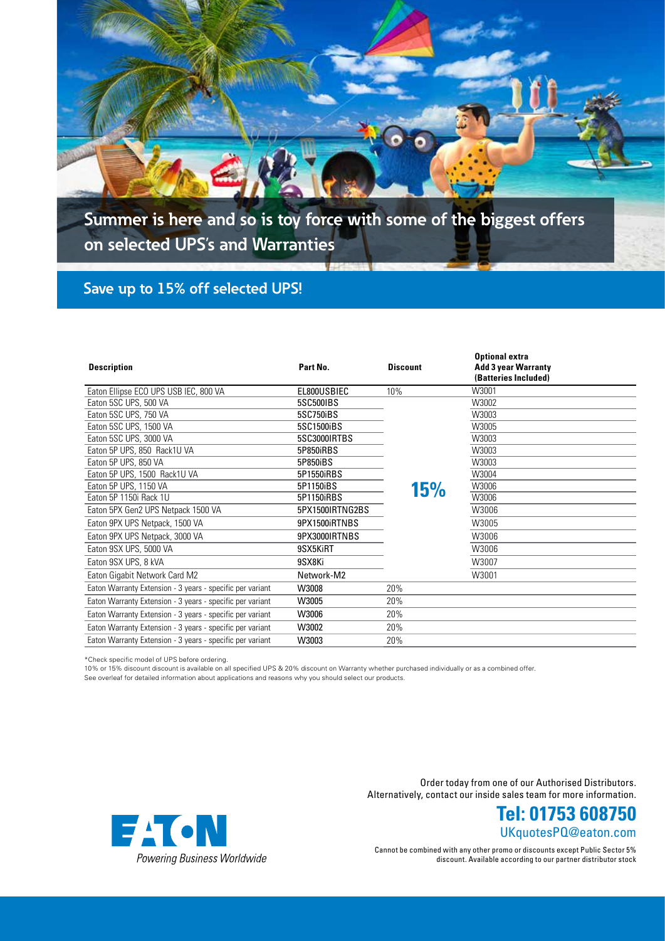

**Summer is here and so is toy force with some of the biggest offers on selected UPS's and Warranties**

## **Save up to 15% off selected UPS!**

| <b>Description</b>                                        | Part No.        | <b>Discount</b> | <b>Optional extra</b><br><b>Add 3 year Warranty</b><br>(Batteries Included) |
|-----------------------------------------------------------|-----------------|-----------------|-----------------------------------------------------------------------------|
| Eaton Ellipse ECO UPS USB IEC, 800 VA                     | EL800USBIEC     | 10%             | W3001                                                                       |
| Eaton 5SC UPS, 500 VA                                     | 5SC500IBS       |                 | W3002                                                                       |
| Eaton 5SC UPS, 750 VA                                     | 5SC750iBS       |                 | W3003                                                                       |
| Eaton 5SC UPS, 1500 VA                                    | 5SC1500iBS      |                 | W3005                                                                       |
| Eaton 5SC UPS, 3000 VA                                    | 5SC3000IRTBS    |                 | W3003                                                                       |
| Eaton 5P UPS, 850 Rack1U VA                               | 5P850iRBS       |                 | W3003                                                                       |
| Eaton 5P UPS, 850 VA                                      | 5P850iBS        |                 | W3003                                                                       |
| Eaton 5P UPS, 1500 Rack1U VA                              | 5P1550iRBS      |                 | W3004                                                                       |
| Eaton 5P UPS, 1150 VA                                     | 5P1150iBS       | <b>15%</b>      | W3006                                                                       |
| Eaton 5P 1150i Rack 1U                                    | 5P1150iRBS      |                 | W3006                                                                       |
| Eaton 5PX Gen2 UPS Netpack 1500 VA                        | 5PX1500IRTNG2BS |                 | W3006                                                                       |
| Eaton 9PX UPS Netpack, 1500 VA                            | 9PX1500iRTNBS   |                 | W3005                                                                       |
| Eaton 9PX UPS Netpack, 3000 VA                            | 9PX3000IRTNBS   |                 | W3006                                                                       |
| Eaton 9SX UPS, 5000 VA                                    | 9SX5KiRT        |                 | W3006                                                                       |
| Eaton 9SX UPS, 8 kVA                                      | 9SX8Ki          |                 | W3007                                                                       |
| Eaton Gigabit Network Card M2                             | Network-M2      |                 | W3001                                                                       |
| Eaton Warranty Extension - 3 years - specific per variant | W3008           | 20%             |                                                                             |
| Eaton Warranty Extension - 3 years - specific per variant | W3005           | 20%             |                                                                             |
| Eaton Warranty Extension - 3 years - specific per variant | W3006           | 20%             |                                                                             |
| Eaton Warranty Extension - 3 years - specific per variant | W3002           | 20%             |                                                                             |
| Eaton Warranty Extension - 3 years - specific per variant | W3003           | 20%             |                                                                             |

\*Check specific model of UPS before ordering.

10% or 15% discount discount is available on all specified UPS & 20% discount on Warranty whether purchased individually or as a combined offer.

See overleaf for detailed information about applications and reasons why you should select our products.



Order today from one of our Authorised Distributors. Alternatively, contact our inside sales team for more information.

> UKquotesPQ@eaton.com **Tel: 01753 608750**

Cannot be combined with any other promo or discounts except Public Sector 5% discount. Available according to our partner distributor stock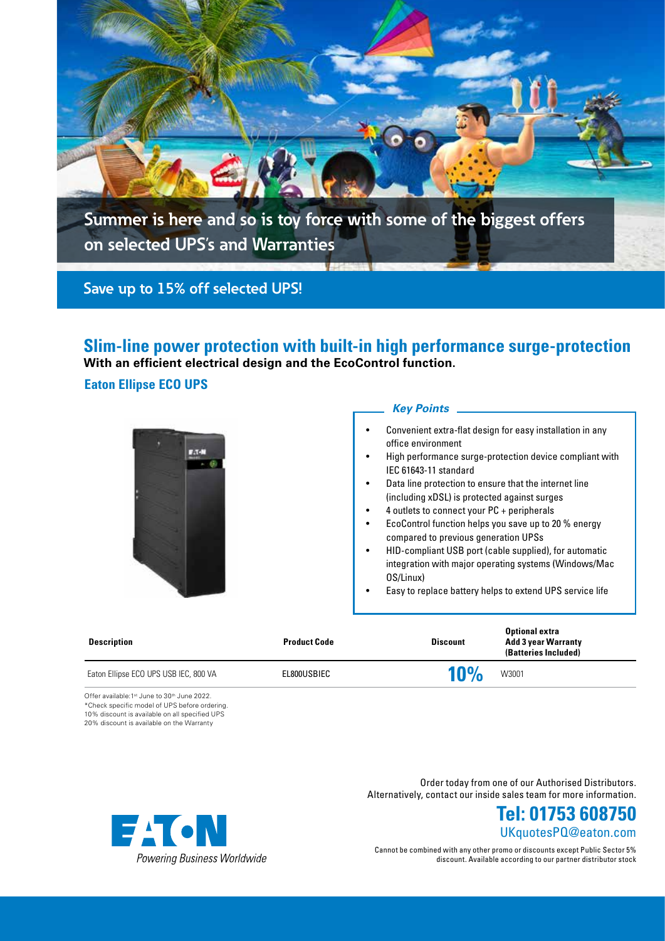

**Slim-line power protection with built-in high performance surge-protection With an efficient electrical design and the EcoControl function.** 

### **Eaton Ellipse ECO UPS**



### *Key Points*

- Convenient extra-flat design for easy installation in any office environment
- High performance surge-protection device compliant with IEC 61643-11 standard
- Data line protection to ensure that the internet line (including xDSL) is protected against surges
- 4 outlets to connect your PC + peripherals
- EcoControl function helps you save up to 20 % energy compared to previous generation UPSs
- HID-compliant USB port (cable supplied), for automatic integration with major operating systems (Windows/Mac OS/Linux)
- Easy to replace battery helps to extend UPS service life

| <b>Product Code</b> | <b>Discount</b> | <b>Optional extra</b><br><b>Add 3 year Warranty</b><br>(Batteries Included) |
|---------------------|-----------------|-----------------------------------------------------------------------------|
| EL800USBIEC         | 10%             | W3001                                                                       |
|                     |                 |                                                                             |

Offer available:1<sup>st</sup> June to 30<sup>th</sup> June 2022. \*Check specific model of UPS before ordering. 10% discount is available on all specified UPS 20% discount is available on the Warranty

> Order today from one of our Authorised Distributors. Alternatively, contact our inside sales team for more information.





Cannot be combined with any other promo or discounts except Public Sector 5% discount. Available according to our partner distributor stock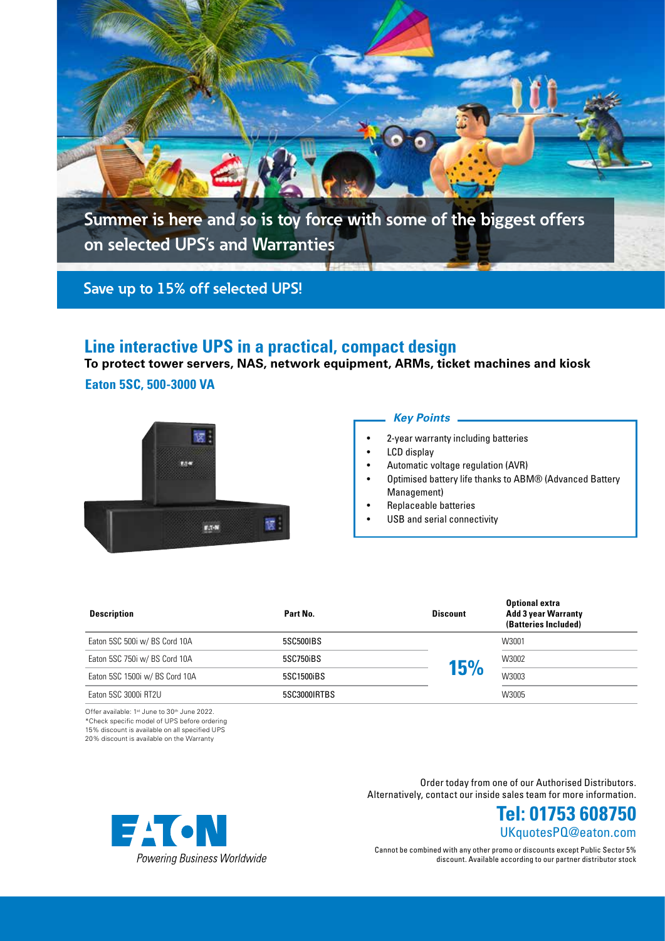

## **Line interactive UPS in a practical, compact design**

**To protect tower servers, NAS, network equipment, ARMs, ticket machines and kiosk**

**Eaton 5SC, 500-3000 VA**



#### *Key Points*

- 2-year warranty including batteries
- LCD display
- Automatic voltage regulation (AVR)
- Optimised battery life thanks to ABM® (Advanced Battery Management)
- Replaceable batteries
- USB and serial connectivity

| <b>Description</b>             | Part No.     | <b>Discount</b> | <b>Optional extra</b><br><b>Add 3 year Warranty</b><br>(Batteries Included) |  |
|--------------------------------|--------------|-----------------|-----------------------------------------------------------------------------|--|
| Eaton 5SC 500i w/ BS Cord 10A  | 5SC500IBS    |                 | W3001                                                                       |  |
| Eaton 5SC 750i w/ BS Cord 10A  | 5SC750iBS    | 15%             | W3002                                                                       |  |
| Eaton 5SC 1500i w/ BS Cord 10A | 5SC1500iBS   |                 | W3003                                                                       |  |
| Eaton 5SC 3000i RT2U           | 5SC3000IRTBS |                 | W3005                                                                       |  |

Offer available: 1st June to 30th June 2022. \*Check specific model of UPS before ordering 15% discount is available on all specified UPS

20% discount is available on the Warranty

Order today from one of our Authorised Distributors. Alternatively, contact our inside sales team for more information.



Cannot be combined with any other promo or discounts except Public Sector 5% discount. Available according to our partner distributor stock

UKquotesPQ@eaton.com **Tel: 01753 608750**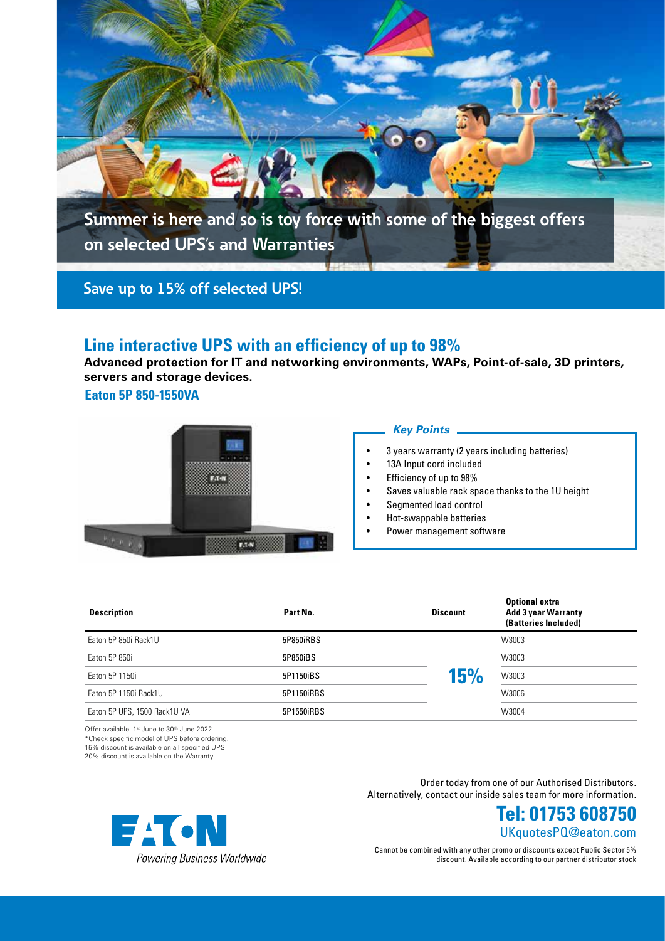

## **Line interactive UPS with an efficiency of up to 98%**

**Advanced protection for IT and networking environments, WAPs, Point-of-sale, 3D printers, servers and storage devices.**

**Eaton 5P 850-1550VA**



#### *Key Points*

- 3 years warranty (2 years including batteries)
- 13A Input cord included
- Efficiency of up to 98%
- Saves valuable rack space thanks to the 1U height
- Segmented load control
- Hot-swappable batteries
- Power management software

| <b>Description</b>           | Part No.   | <b>Discount</b> | <b>Optional extra</b><br><b>Add 3 year Warranty</b><br>(Batteries Included) |  |
|------------------------------|------------|-----------------|-----------------------------------------------------------------------------|--|
| Eaton 5P 850i Rack1U         | 5P850iRBS  |                 | W3003                                                                       |  |
| Eaton 5P 850i                | 5P850iBS   |                 | W3003                                                                       |  |
| Eaton 5P 1150i               | 5P1150iBS  | 15%             | W3003                                                                       |  |
| Eaton 5P 1150i Rack1U        | 5P1150iRBS |                 | W3006                                                                       |  |
| Eaton 5P UPS, 1500 Rack1U VA | 5P1550iRBS |                 | W3004                                                                       |  |

Offer available: 1ª June to 30ª June 2022.<br>\*Check specific model of UPS before ordering.

15% discount is available on all specified UPS

20% discount is available on the Warranty

Order today from one of our Authorised Distributors. Alternatively, contact our inside sales team for more information.



Cannot be combined with any other promo or discounts except Public Sector 5% discount. Available according to our partner distributor stock

UKquotesPQ@eaton.com **Tel: 01753 608750**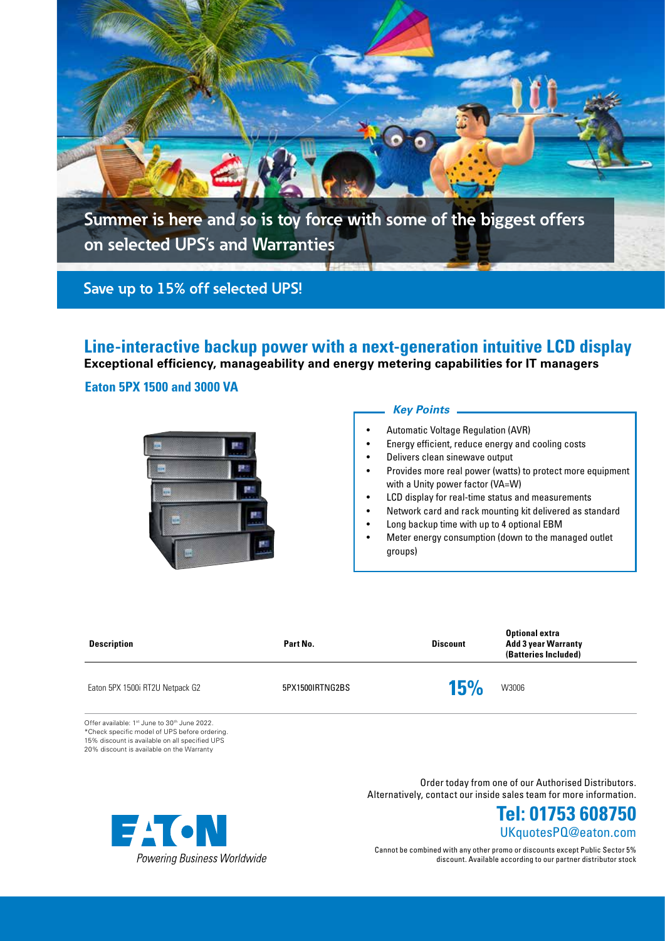

**Line-interactive backup power with a next-generation intuitive LCD display Exceptional efficiency, manageability and energy metering capabilities for IT managers**

**Eaton 5PX 1500 and 3000 VA**



### *Key Points*

- Automatic Voltage Regulation (AVR)
- Energy efficient, reduce energy and cooling costs
- Delivers clean sinewave output
- Provides more real power (watts) to protect more equipment with a Unity power factor (VA=W)
- LCD display for real-time status and measurements
- Network card and rack mounting kit delivered as standard
- Long backup time with up to 4 optional EBM
- Meter energy consumption (down to the managed outlet groups)

| <b>Description</b>                                                                                                                               | Part No.        | <b>Discount</b> | <b>Optional extra</b><br><b>Add 3 year Warranty</b><br>(Batteries Included) |  |
|--------------------------------------------------------------------------------------------------------------------------------------------------|-----------------|-----------------|-----------------------------------------------------------------------------|--|
| Eaton 5PX 1500i RT2U Netpack G2                                                                                                                  | 5PX1500IRTNG2BS | 15%             | W3006                                                                       |  |
| Offer available: 1st June to 30th June 2022.<br>*Check specific model of UPS before ordering.<br>15% discount is available on all specified UPS. |                 |                 |                                                                             |  |

15% discount is available on all specified UPS 20% discount is available on the Warranty

> Order today from one of our Authorised Distributors. Alternatively, contact our inside sales team for more information.



Cannot be combined with any other promo or discounts except Public Sector 5% discount. Available according to our partner distributor stock

UKquotesPQ@eaton.com **Tel: 01753 608750**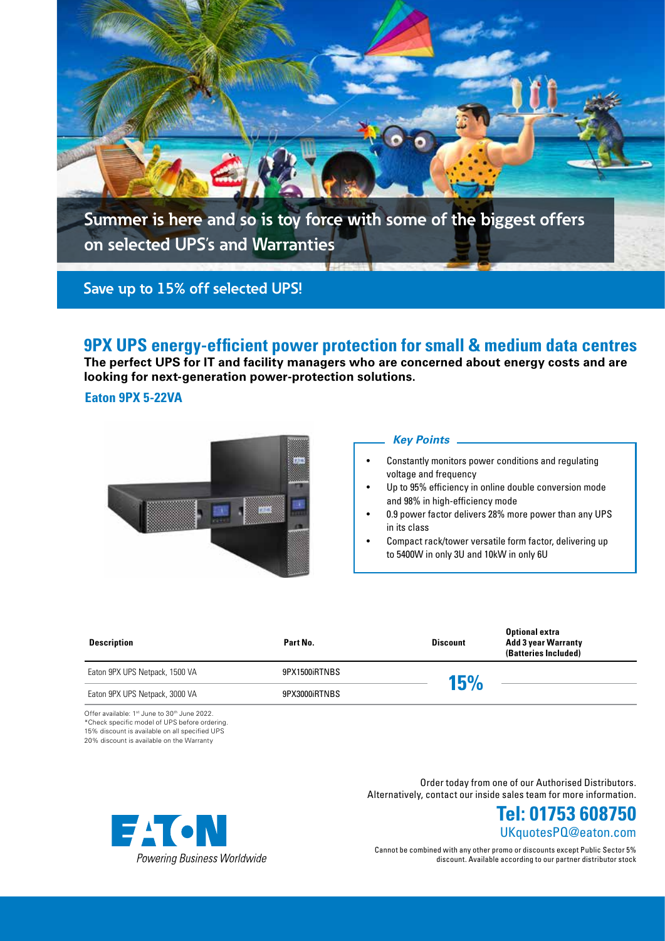

# **9PX UPS energy-efficient power protection for small & medium data centres**

**The perfect UPS for IT and facility managers who are concerned about energy costs and are looking for next-generation power-protection solutions.**

### **Eaton 9PX 5-22VA**



#### *Key Points*

- Constantly monitors power conditions and regulating voltage and frequency
- Up to 95% efficiency in online double conversion mode and 98% in high-efficiency mode
- 0.9 power factor delivers 28% more power than any UPS in its class
- Compact rack/tower versatile form factor, delivering up to 5400W in only 3U and 10kW in only 6U

| <b>Description</b>             | Part No.      | <b>Discount</b> | <b>Optional extra</b><br><b>Add 3 year Warranty</b><br>(Batteries Included) |
|--------------------------------|---------------|-----------------|-----------------------------------------------------------------------------|
| Eaton 9PX UPS Netpack, 1500 VA | 9PX1500iRTNBS | 15%             |                                                                             |
| Eaton 9PX UPS Netpack, 3000 VA | 9PX3000iRTNBS |                 |                                                                             |

Offer available: 1st June to 30th June 2022. \*Check specific model of UPS before ordering. 15% discount is available on all specified UPS 20% discount is available on the Warranty





Cannot be combined with any other promo or discounts except Public Sector 5% discount. Available according to our partner distributor stock

UKquotesPQ@eaton.com